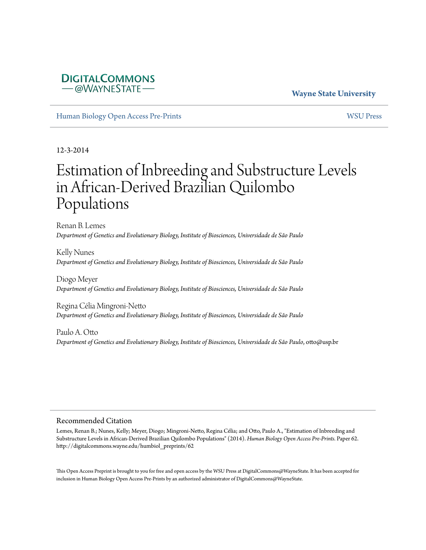# **DIGITALCOMMONS** -@WAYNESTATE

#### **Wayne State University**

[Human Biology Open Access Pre-Prints](http://digitalcommons.wayne.edu/humbiol_preprints) [WSU Press](http://digitalcommons.wayne.edu/wsupress)

12-3-2014

# Estimation of Inbreeding and Substructure Levels in African-Derived Brazilian Quilombo Populations

Renan B. Lemes *Department of Genetics and Evolutionary Biology, Institute of Biosciences, Universidade de São Paulo*

Kelly Nunes *Department of Genetics and Evolutionary Biology, Institute of Biosciences, Universidade de São Paulo*

Diogo Meyer *Department of Genetics and Evolutionary Biology, Institute of Biosciences, Universidade de São Paulo*

Regina Célia Mingroni-Netto *Department of Genetics and Evolutionary Biology, Institute of Biosciences, Universidade de São Paulo*

Paulo A. Otto *Department of Genetics and Evolutionary Biology, Institute of Biosciences, Universidade de São Paulo*, otto@usp.br

#### Recommended Citation

Lemes, Renan B.; Nunes, Kelly; Meyer, Diogo; Mingroni-Netto, Regina Célia; and Otto, Paulo A., "Estimation of Inbreeding and Substructure Levels in African-Derived Brazilian Quilombo Populations" (2014). *Human Biology Open Access Pre-Prints.* Paper 62. http://digitalcommons.wayne.edu/humbiol\_preprints/62

This Open Access Preprint is brought to you for free and open access by the WSU Press at DigitalCommons@WayneState. It has been accepted for inclusion in Human Biology Open Access Pre-Prints by an authorized administrator of DigitalCommons@WayneState.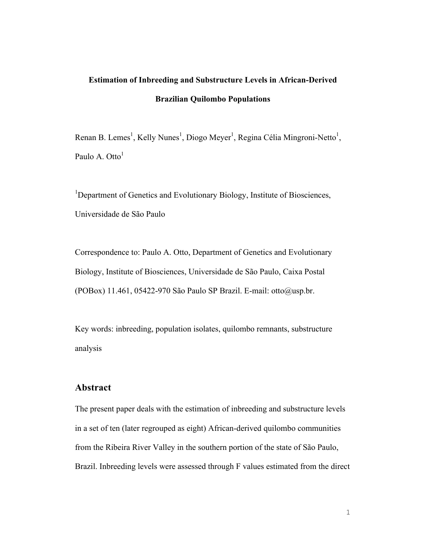# **Estimation of Inbreeding and Substructure Levels in African-Derived Brazilian Quilombo Populations**

Renan B. Lemes<sup>1</sup>, Kelly Nunes<sup>1</sup>, Diogo Meyer<sup>1</sup>, Regina Célia Mingroni-Netto<sup>1</sup>, Paulo A. Otto<sup>1</sup>

<sup>1</sup>Department of Genetics and Evolutionary Biology, Institute of Biosciences, Universidade de São Paulo

Correspondence to: Paulo A. Otto, Department of Genetics and Evolutionary Biology, Institute of Biosciences, Universidade de São Paulo, Caixa Postal (POBox) 11.461, 05422-970 São Paulo SP Brazil. E-mail: otto@usp.br.

Key words: inbreeding, population isolates, quilombo remnants, substructure analysis

#### **Abstract**

The present paper deals with the estimation of inbreeding and substructure levels in a set of ten (later regrouped as eight) African-derived quilombo communities from the Ribeira River Valley in the southern portion of the state of São Paulo, Brazil. Inbreeding levels were assessed through F values estimated from the direct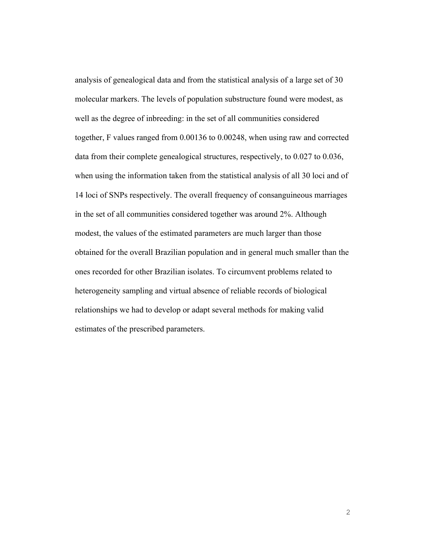analysis of genealogical data and from the statistical analysis of a large set of 30 molecular markers. The levels of population substructure found were modest, as well as the degree of inbreeding: in the set of all communities considered together, F values ranged from 0.00136 to 0.00248, when using raw and corrected data from their complete genealogical structures, respectively, to 0.027 to 0.036, when using the information taken from the statistical analysis of all 30 loci and of 14 loci of SNPs respectively. The overall frequency of consanguineous marriages in the set of all communities considered together was around 2%. Although modest, the values of the estimated parameters are much larger than those obtained for the overall Brazilian population and in general much smaller than the ones recorded for other Brazilian isolates. To circumvent problems related to heterogeneity sampling and virtual absence of reliable records of biological relationships we had to develop or adapt several methods for making valid estimates of the prescribed parameters.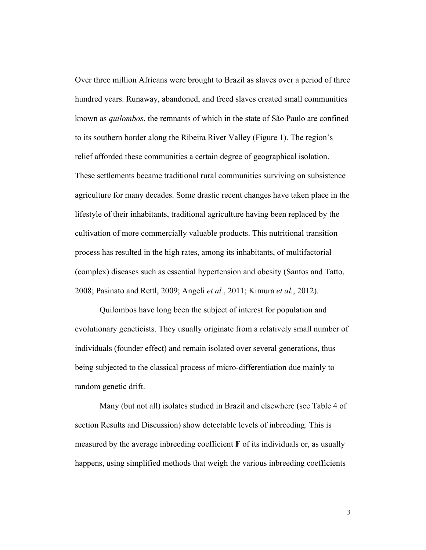Over three million Africans were brought to Brazil as slaves over a period of three hundred years. Runaway, abandoned, and freed slaves created small communities known as *quilombos*, the remnants of which in the state of São Paulo are confined to its southern border along the Ribeira River Valley (Figure 1). The region's relief afforded these communities a certain degree of geographical isolation. These settlements became traditional rural communities surviving on subsistence agriculture for many decades. Some drastic recent changes have taken place in the lifestyle of their inhabitants, traditional agriculture having been replaced by the cultivation of more commercially valuable products. This nutritional transition process has resulted in the high rates, among its inhabitants, of multifactorial (complex) diseases such as essential hypertension and obesity (Santos and Tatto, 2008; Pasinato and Rettl, 2009; Angeli *et al.*, 2011; Kimura *et al.*, 2012).

Quilombos have long been the subject of interest for population and evolutionary geneticists. They usually originate from a relatively small number of individuals (founder effect) and remain isolated over several generations, thus being subjected to the classical process of micro-differentiation due mainly to random genetic drift.

Many (but not all) isolates studied in Brazil and elsewhere (see Table 4 of section Results and Discussion) show detectable levels of inbreeding. This is measured by the average inbreeding coefficient **F** of its individuals or, as usually happens, using simplified methods that weigh the various inbreeding coefficients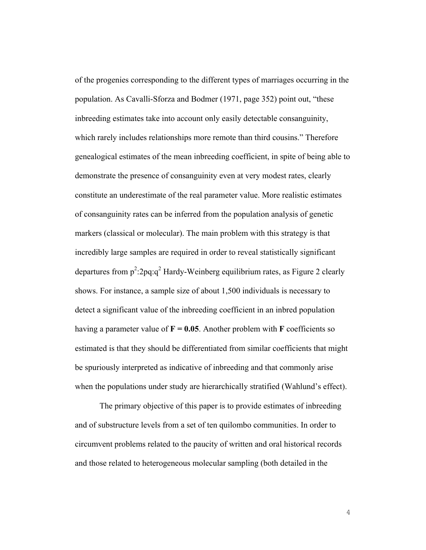of the progenies corresponding to the different types of marriages occurring in the population. As Cavalli-Sforza and Bodmer (1971, page 352) point out, "these inbreeding estimates take into account only easily detectable consanguinity, which rarely includes relationships more remote than third cousins." Therefore genealogical estimates of the mean inbreeding coefficient, in spite of being able to demonstrate the presence of consanguinity even at very modest rates, clearly constitute an underestimate of the real parameter value. More realistic estimates of consanguinity rates can be inferred from the population analysis of genetic markers (classical or molecular). The main problem with this strategy is that incredibly large samples are required in order to reveal statistically significant departures from  $p^2$ :2pq:q<sup>2</sup> Hardy-Weinberg equilibrium rates, as Figure 2 clearly shows. For instance, a sample size of about 1,500 individuals is necessary to detect a significant value of the inbreeding coefficient in an inbred population having a parameter value of  $\mathbf{F} = 0.05$ . Another problem with **F** coefficients so estimated is that they should be differentiated from similar coefficients that might be spuriously interpreted as indicative of inbreeding and that commonly arise when the populations under study are hierarchically stratified (Wahlund's effect).

The primary objective of this paper is to provide estimates of inbreeding and of substructure levels from a set of ten quilombo communities. In order to circumvent problems related to the paucity of written and oral historical records and those related to heterogeneous molecular sampling (both detailed in the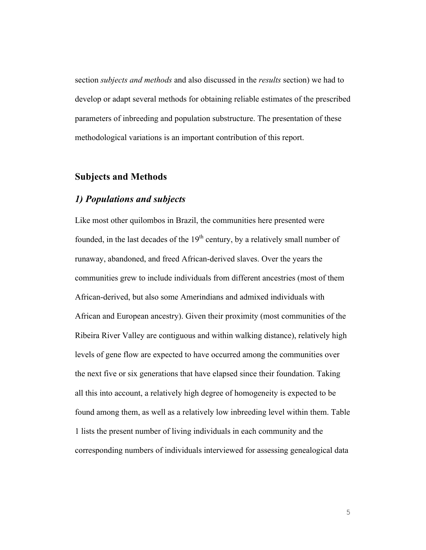section *subjects and methods* and also discussed in the *results* section) we had to develop or adapt several methods for obtaining reliable estimates of the prescribed parameters of inbreeding and population substructure. The presentation of these methodological variations is an important contribution of this report.

### **Subjects and Methods**

#### *1) Populations and subjects*

Like most other quilombos in Brazil, the communities here presented were founded, in the last decades of the  $19<sup>th</sup>$  century, by a relatively small number of runaway, abandoned, and freed African-derived slaves. Over the years the communities grew to include individuals from different ancestries (most of them African-derived, but also some Amerindians and admixed individuals with African and European ancestry). Given their proximity (most communities of the Ribeira River Valley are contiguous and within walking distance), relatively high levels of gene flow are expected to have occurred among the communities over the next five or six generations that have elapsed since their foundation. Taking all this into account, a relatively high degree of homogeneity is expected to be found among them, as well as a relatively low inbreeding level within them. Table 1 lists the present number of living individuals in each community and the corresponding numbers of individuals interviewed for assessing genealogical data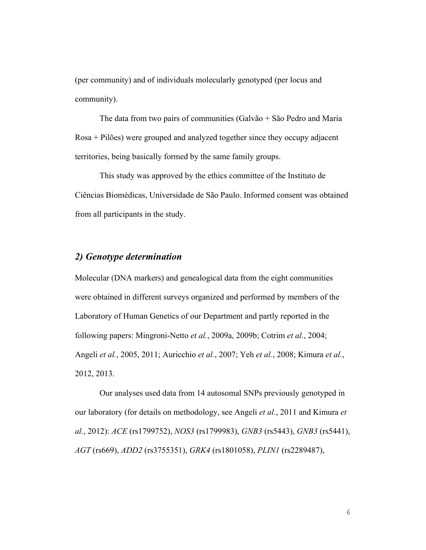(per community) and of individuals molecularly genotyped (per locus and community).

The data from two pairs of communities (Galvão + São Pedro and Maria Rosa + Pilões) were grouped and analyzed together since they occupy adjacent territories, being basically formed by the same family groups.

This study was approved by the ethics committee of the Instituto de Ciências Biomédicas, Universidade de São Paulo. Informed consent was obtained from all participants in the study.

# *2) Genotype determination*

Molecular (DNA markers) and genealogical data from the eight communities were obtained in different surveys organized and performed by members of the Laboratory of Human Genetics of our Department and partly reported in the following papers: Mingroni-Netto *et al.*, 2009a, 2009b; Cotrim *et al.*, 2004; Angeli *et al.*, 2005, 2011; Auricchio *et al.*, 2007; Yeh *et al.*, 2008; Kimura *et al.*, 2012, 2013.

Our analyses used data from 14 autosomal SNPs previously genotyped in our laboratory (for details on methodology, see Angeli *et al.*, 2011 and Kimura *et al.*, 2012): *ACE* (rs1799752), *NOS3* (rs1799983), *GNB3* (rs5443), *GNB3* (rs5441), *AGT* (rs669), *ADD2* (rs3755351), *GRK4* (rs1801058), *PLIN1* (rs2289487),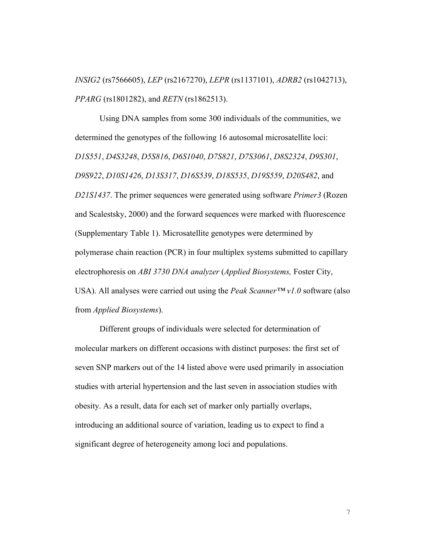*INSIG2* (rs7566605), *LEP* (rs2167270), *LEPR* (rs1137101), *ADRB2* (rs1042713), *PPARG* (rs1801282), and *RETN* (rs1862513).

Using DNA samples from some 300 individuals of the communities, we determined the genotypes of the following 16 autosomal microsatellite loci: *D1S551*, *D4S3248*, *D5S816*, *D6S1040*, *D7S821*, *D7S3061*, *D8S2324*, *D9S301*, *D9S922*, *D10S1426*, *D13S317*, *D16S539*, *D18S535*, *D19S559*, *D20S482*, and *D21S1437*. The primer sequences were generated using software *Primer3* (Rozen and Scalestsky, 2000) and the forward sequences were marked with fluorescence (Supplementary Table 1). Microsatellite genotypes were determined by polymerase chain reaction (PCR) in four multiplex systems submitted to capillary electrophoresis on *ABI 3730 DNA analyzer* (*Applied Biosystems,* Foster City, USA). All analyses were carried out using the *Peak Scanner™ v1.0* software (also from *Applied Biosystems*).

Different groups of individuals were selected for determination of molecular markers on different occasions with distinct purposes: the first set of seven SNP markers out of the 14 listed above were used primarily in association studies with arterial hypertension and the last seven in association studies with obesity. As a result, data for each set of marker only partially overlaps, introducing an additional source of variation, leading us to expect to find a significant degree of heterogeneity among loci and populations.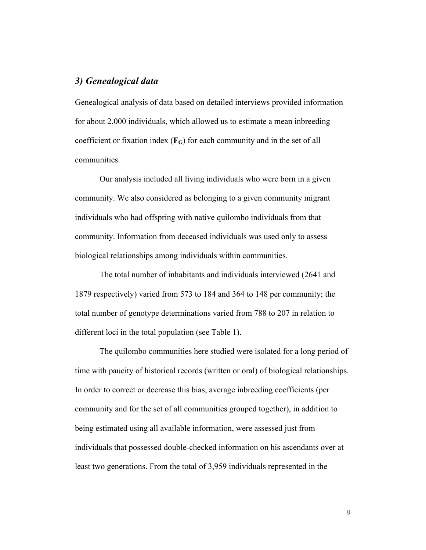# *3) Genealogical data*

Genealogical analysis of data based on detailed interviews provided information for about 2,000 individuals, which allowed us to estimate a mean inbreeding coefficient or fixation index  $(F_G)$  for each community and in the set of all communities.

Our analysis included all living individuals who were born in a given community. We also considered as belonging to a given community migrant individuals who had offspring with native quilombo individuals from that community. Information from deceased individuals was used only to assess biological relationships among individuals within communities.

The total number of inhabitants and individuals interviewed (2641 and 1879 respectively) varied from 573 to 184 and 364 to 148 per community; the total number of genotype determinations varied from 788 to 207 in relation to different loci in the total population (see Table 1).

The quilombo communities here studied were isolated for a long period of time with paucity of historical records (written or oral) of biological relationships. In order to correct or decrease this bias, average inbreeding coefficients (per community and for the set of all communities grouped together), in addition to being estimated using all available information, were assessed just from individuals that possessed double-checked information on his ascendants over at least two generations. From the total of 3,959 individuals represented in the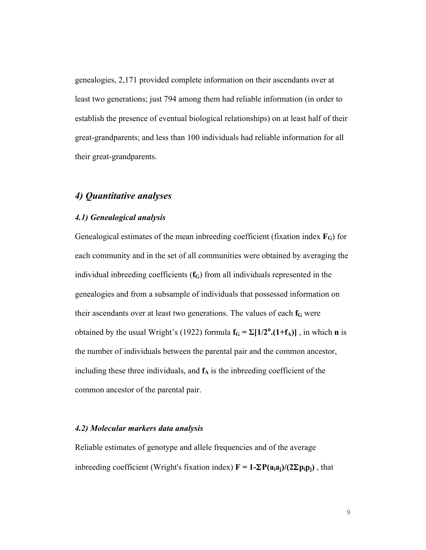genealogies, 2,171 provided complete information on their ascendants over at least two generations; just 794 among them had reliable information (in order to establish the presence of eventual biological relationships) on at least half of their great-grandparents; and less than 100 individuals had reliable information for all their great-grandparents.

## *4) Quantitative analyses*

#### *4.1) Genealogical analysis*

Genealogical estimates of the mean inbreeding coefficient (fixation index **FG**) for each community and in the set of all communities were obtained by averaging the individual inbreeding coefficients (f<sub>G</sub>) from all individuals represented in the genealogies and from a subsample of individuals that possessed information on their ascendants over at least two generations. The values of each  $f<sub>G</sub>$  were obtained by the usual Wright's (1922) formula  $f_G = \Sigma[1/2^n \cdot (1+f_A)]$ , in which **n** is the number of individuals between the parental pair and the common ancestor, including these three individuals, and  $f_A$  is the inbreeding coefficient of the common ancestor of the parental pair.

#### *4.2) Molecular markers data analysis*

Reliable estimates of genotype and allele frequencies and of the average inbreeding coefficient (Wright's fixation index)  $\mathbf{F} = \mathbf{1} - \Sigma \mathbf{P}(\mathbf{a}_i \mathbf{a}_j)/(2 \Sigma \mathbf{p}_i \mathbf{p}_i)$ , that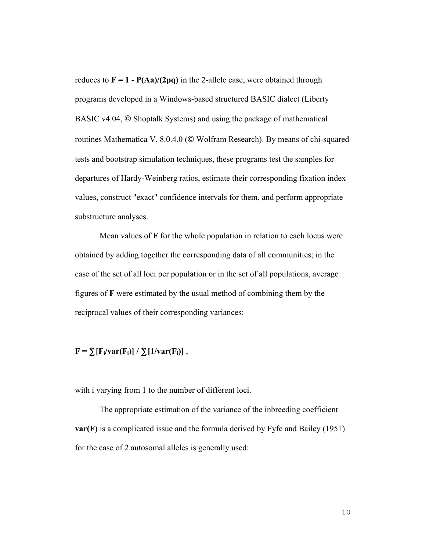reduces to  $\mathbf{F} = 1 - \mathbf{P}(\mathbf{A}\mathbf{a})/(2\mathbf{p}\mathbf{q})$  in the 2-allele case, were obtained through programs developed in a Windows-based structured BASIC dialect (Liberty BASIC v4.04, © Shoptalk Systems) and using the package of mathematical routines Mathematica V. 8.0.4.0 (© Wolfram Research). By means of chi-squared tests and bootstrap simulation techniques, these programs test the samples for departures of Hardy-Weinberg ratios, estimate their corresponding fixation index values, construct "exact" confidence intervals for them, and perform appropriate substructure analyses.

Mean values of **F** for the whole population in relation to each locus were obtained by adding together the corresponding data of all communities; in the case of the set of all loci per population or in the set of all populations, average figures of **F** were estimated by the usual method of combining them by the reciprocal values of their corresponding variances:

 $F = \sum [F_i / \text{var}(F_i)] / \sum [1 / \text{var}(F_i)]$ ,

with i varying from 1 to the number of different loci.

The appropriate estimation of the variance of the inbreeding coefficient **var(F)** is a complicated issue and the formula derived by Fyfe and Bailey (1951) for the case of 2 autosomal alleles is generally used: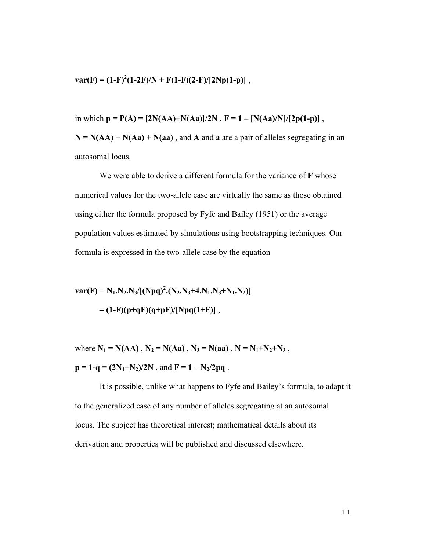$var(F) = (1-F)^2(1-2F)/N + F(1-F)(2-F)/[2Np(1-p)]$ ,

in which  $p = P(A) = [2N(AA) + N(Aa)]/2N$ ,  $F = 1 - [N(Aa)/N]/[2p(1-p)]$ ,  $N = N(AA) + N(Aa) + N(aa)$ , and **A** and **a** are a pair of alleles segregating in an autosomal locus.

We were able to derive a different formula for the variance of **F** whose numerical values for the two-allele case are virtually the same as those obtained using either the formula proposed by Fyfe and Bailey (1951) or the average population values estimated by simulations using bootstrapping techniques. Our formula is expressed in the two-allele case by the equation

 $var(F) = N_1.N_2.N_3/[(Npq)^2.(N_2.N_3+4.N_1.N_3+N_1.N_2)]$  $= (1-F)(p+qF)(q+pF)/[Npq(1+F)]$ ,

where  $N_1 = N(AA)$ ,  $N_2 = N(Aa)$ ,  $N_3 = N(aa)$ ,  $N = N_1 + N_2 + N_3$ ,  $p = 1 - q = (2N_1 + N_2)/2N$ , and  $F = 1 - N_2/2pq$ .

It is possible, unlike what happens to Fyfe and Bailey's formula, to adapt it to the generalized case of any number of alleles segregating at an autosomal locus. The subject has theoretical interest; mathematical details about its derivation and properties will be published and discussed elsewhere.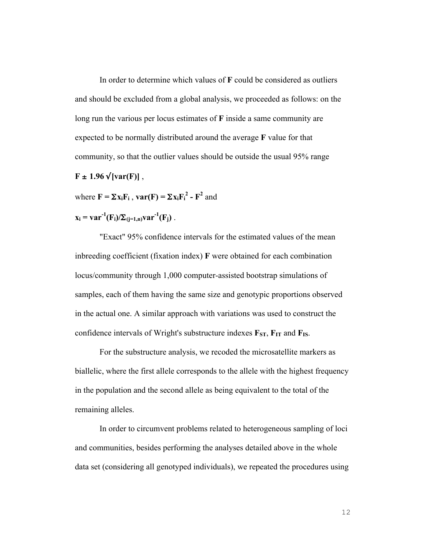In order to determine which values of **F** could be considered as outliers and should be excluded from a global analysis, we proceeded as follows: on the long run the various per locus estimates of **F** inside a same community are expected to be normally distributed around the average **F** value for that community, so that the outlier values should be outside the usual 95% range  $F \pm 1.96 \sqrt{\text{var}(F)}$ ,

where  $\mathbf{F} = \sum \mathbf{x}_i \mathbf{F}_i$ ,  $\mathbf{var}(\mathbf{F}) = \sum \mathbf{x}_i \mathbf{F}_i^2 - \mathbf{F}^2$  and

$$
\mathbf{x}_i = \mathbf{var}^{-1}(\mathbf{F}_i)/\Sigma_{(j=1,n)} \mathbf{var}^{-1}(\mathbf{F}_j) .
$$

"Exact" 95% confidence intervals for the estimated values of the mean inbreeding coefficient (fixation index) **F** were obtained for each combination locus/community through 1,000 computer-assisted bootstrap simulations of samples, each of them having the same size and genotypic proportions observed in the actual one. A similar approach with variations was used to construct the confidence intervals of Wright's substructure indexes  $\mathbf{F}_{ST}$ ,  $\mathbf{F}_{IT}$  and  $\mathbf{F}_{IS}$ .

For the substructure analysis, we recoded the microsatellite markers as biallelic, where the first allele corresponds to the allele with the highest frequency in the population and the second allele as being equivalent to the total of the remaining alleles.

In order to circumvent problems related to heterogeneous sampling of loci and communities, besides performing the analyses detailed above in the whole data set (considering all genotyped individuals), we repeated the procedures using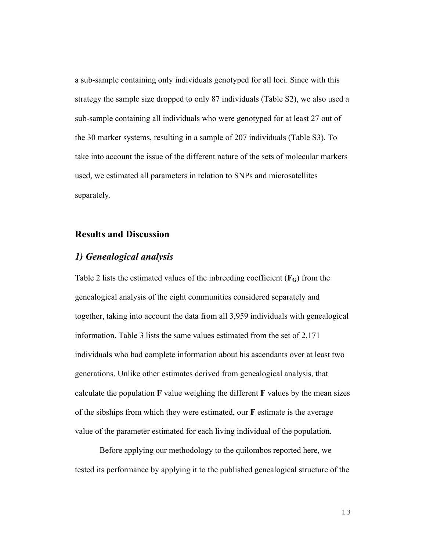a sub-sample containing only individuals genotyped for all loci. Since with this strategy the sample size dropped to only 87 individuals (Table S2), we also used a sub-sample containing all individuals who were genotyped for at least 27 out of the 30 marker systems, resulting in a sample of 207 individuals (Table S3). To take into account the issue of the different nature of the sets of molecular markers used, we estimated all parameters in relation to SNPs and microsatellites separately.

#### **Results and Discussion**

# *1) Genealogical analysis*

Table 2 lists the estimated values of the inbreeding coefficient (**FG**) from the genealogical analysis of the eight communities considered separately and together, taking into account the data from all 3,959 individuals with genealogical information. Table 3 lists the same values estimated from the set of 2,171 individuals who had complete information about his ascendants over at least two generations. Unlike other estimates derived from genealogical analysis, that calculate the population **F** value weighing the different **F** values by the mean sizes of the sibships from which they were estimated, our **F** estimate is the average value of the parameter estimated for each living individual of the population.

Before applying our methodology to the quilombos reported here, we tested its performance by applying it to the published genealogical structure of the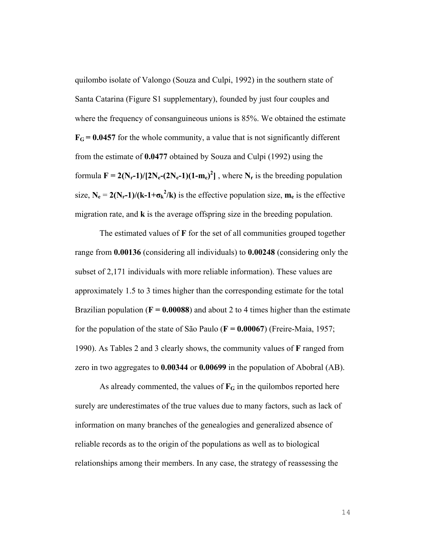quilombo isolate of Valongo (Souza and Culpi, 1992) in the southern state of Santa Catarina (Figure S1 supplementary), founded by just four couples and where the frequency of consanguineous unions is 85%. We obtained the estimate  $F_G = 0.0457$  for the whole community, a value that is not significantly different from the estimate of **0.0477** obtained by Souza and Culpi (1992) using the formula  $F = 2(N_r-1)/[2N_e-(2N_e-1)(1-m_e)^2]$ , where  $N_r$  is the breeding population size,  $N_e = 2(N_r-1)/(k-1+\sigma_k^2/k)$  is the effective population size,  $m_e$  is the effective migration rate, and **k** is the average offspring size in the breeding population.

The estimated values of **F** for the set of all communities grouped together range from **0.00136** (considering all individuals) to **0.00248** (considering only the subset of 2,171 individuals with more reliable information). These values are approximately 1.5 to 3 times higher than the corresponding estimate for the total Brazilian population ( $\bf{F} = 0.00088$ ) and about 2 to 4 times higher than the estimate for the population of the state of São Paulo (**F = 0.00067**) (Freire-Maia, 1957; 1990). As Tables 2 and 3 clearly shows, the community values of **F** ranged from zero in two aggregates to **0.00344** or **0.00699** in the population of Abobral (AB).

As already commented, the values of  $\mathbf{F}_{\mathbf{G}}$  in the quilombos reported here surely are underestimates of the true values due to many factors, such as lack of information on many branches of the genealogies and generalized absence of reliable records as to the origin of the populations as well as to biological relationships among their members. In any case, the strategy of reassessing the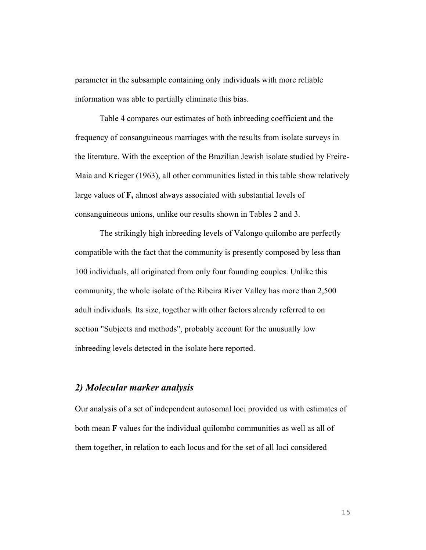parameter in the subsample containing only individuals with more reliable information was able to partially eliminate this bias.

Table 4 compares our estimates of both inbreeding coefficient and the frequency of consanguineous marriages with the results from isolate surveys in the literature. With the exception of the Brazilian Jewish isolate studied by Freire-Maia and Krieger (1963), all other communities listed in this table show relatively large values of **F,** almost always associated with substantial levels of consanguineous unions, unlike our results shown in Tables 2 and 3.

The strikingly high inbreeding levels of Valongo quilombo are perfectly compatible with the fact that the community is presently composed by less than 100 individuals, all originated from only four founding couples. Unlike this community, the whole isolate of the Ribeira River Valley has more than 2,500 adult individuals. Its size, together with other factors already referred to on section "Subjects and methods", probably account for the unusually low inbreeding levels detected in the isolate here reported.

#### *2) Molecular marker analysis*

Our analysis of a set of independent autosomal loci provided us with estimates of both mean **F** values for the individual quilombo communities as well as all of them together, in relation to each locus and for the set of all loci considered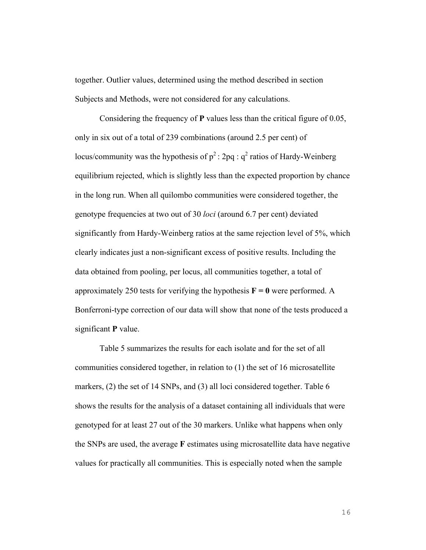together. Outlier values, determined using the method described in section Subjects and Methods, were not considered for any calculations.

Considering the frequency of **P** values less than the critical figure of 0.05, only in six out of a total of 239 combinations (around 2.5 per cent) of locus/community was the hypothesis of  $p^2$ : 2pq :  $q^2$  ratios of Hardy-Weinberg equilibrium rejected, which is slightly less than the expected proportion by chance in the long run. When all quilombo communities were considered together, the genotype frequencies at two out of 30 *loci* (around 6.7 per cent) deviated significantly from Hardy-Weinberg ratios at the same rejection level of 5%, which clearly indicates just a non-significant excess of positive results. Including the data obtained from pooling, per locus, all communities together, a total of approximately 250 tests for verifying the hypothesis  $\mathbf{F} = \mathbf{0}$  were performed. A Bonferroni-type correction of our data will show that none of the tests produced a significant **P** value.

Table 5 summarizes the results for each isolate and for the set of all communities considered together, in relation to (1) the set of 16 microsatellite markers, (2) the set of 14 SNPs, and (3) all loci considered together. Table 6 shows the results for the analysis of a dataset containing all individuals that were genotyped for at least 27 out of the 30 markers. Unlike what happens when only the SNPs are used, the average **F** estimates using microsatellite data have negative values for practically all communities. This is especially noted when the sample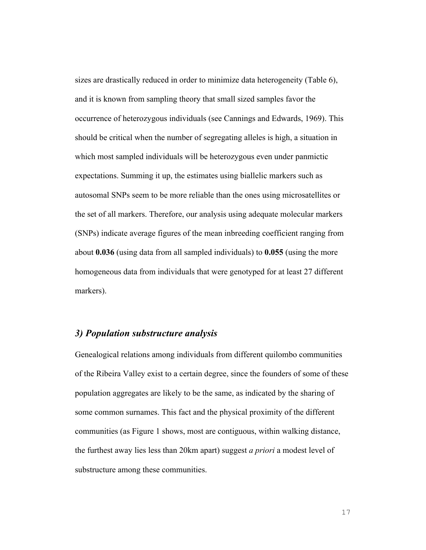sizes are drastically reduced in order to minimize data heterogeneity (Table 6), and it is known from sampling theory that small sized samples favor the occurrence of heterozygous individuals (see Cannings and Edwards, 1969). This should be critical when the number of segregating alleles is high, a situation in which most sampled individuals will be heterozygous even under panmictic expectations. Summing it up, the estimates using biallelic markers such as autosomal SNPs seem to be more reliable than the ones using microsatellites or the set of all markers. Therefore, our analysis using adequate molecular markers (SNPs) indicate average figures of the mean inbreeding coefficient ranging from about **0.036** (using data from all sampled individuals) to **0.055** (using the more homogeneous data from individuals that were genotyped for at least 27 different markers).

#### *3) Population substructure analysis*

Genealogical relations among individuals from different quilombo communities of the Ribeira Valley exist to a certain degree, since the founders of some of these population aggregates are likely to be the same, as indicated by the sharing of some common surnames. This fact and the physical proximity of the different communities (as Figure 1 shows, most are contiguous, within walking distance, the furthest away lies less than 20km apart) suggest *a priori* a modest level of substructure among these communities.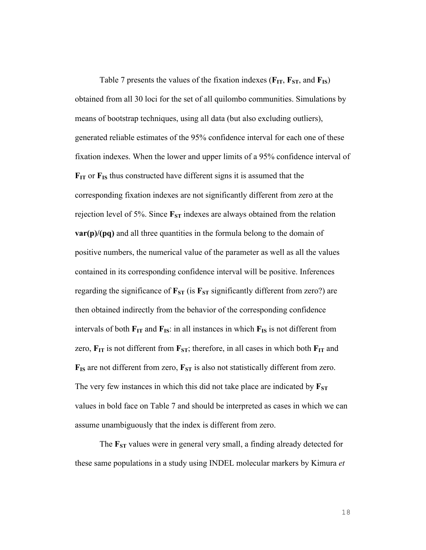Table 7 presents the values of the fixation indexes  $(\mathbf{F_{IT}}, \mathbf{F_{ST}}, \text{and } \mathbf{F_{IS}})$ obtained from all 30 loci for the set of all quilombo communities. Simulations by means of bootstrap techniques, using all data (but also excluding outliers), generated reliable estimates of the 95% confidence interval for each one of these fixation indexes. When the lower and upper limits of a 95% confidence interval of **FIT** or **FIS** thus constructed have different signs it is assumed that the corresponding fixation indexes are not significantly different from zero at the rejection level of 5%. Since  $\mathbf{F}_{ST}$  indexes are always obtained from the relation **var(p)/(pq)** and all three quantities in the formula belong to the domain of positive numbers, the numerical value of the parameter as well as all the values contained in its corresponding confidence interval will be positive. Inferences regarding the significance of  $\mathbf{F}_{ST}$  (is  $\mathbf{F}_{ST}$  significantly different from zero?) are then obtained indirectly from the behavior of the corresponding confidence intervals of both  $\mathbf{F}_{\text{IT}}$  and  $\mathbf{F}_{\text{IS}}$ : in all instances in which  $\mathbf{F}_{\text{IS}}$  is not different from zero,  $\mathbf{F}_{IT}$  is not different from  $\mathbf{F}_{ST}$ ; therefore, in all cases in which both  $\mathbf{F}_{IT}$  and  $\mathbf{F}_{IS}$  are not different from zero,  $\mathbf{F}_{ST}$  is also not statistically different from zero. The very few instances in which this did not take place are indicated by  $\mathbf{F}_{ST}$ values in bold face on Table 7 and should be interpreted as cases in which we can assume unambiguously that the index is different from zero.

The **F**<sub>ST</sub> values were in general very small, a finding already detected for these same populations in a study using INDEL molecular markers by Kimura *et*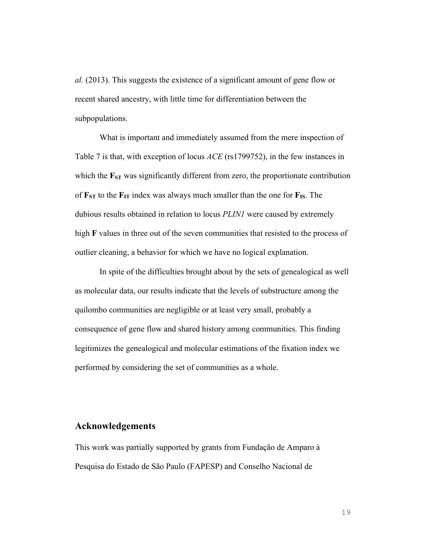*al.* (2013). This suggests the existence of a significant amount of gene flow or recent shared ancestry, with little time for differentiation between the subpopulations.

What is important and immediately assumed from the mere inspection of Table 7 is that, with exception of locus *ACE* (rs1799752), in the few instances in which the  $\mathbf{F}_{ST}$  was significantly different from zero, the proportionate contribution of  $\mathbf{F}_{ST}$  to the  $\mathbf{F}_{IT}$  index was always much smaller than the one for  $\mathbf{F}_{IS}$ . The dubious results obtained in relation to locus *PLIN1* were caused by extremely high **F** values in three out of the seven communities that resisted to the process of outlier cleaning, a behavior for which we have no logical explanation.

In spite of the difficulties brought about by the sets of genealogical as well as molecular data, our results indicate that the levels of substructure among the quilombo communities are negligible or at least very small, probably a consequence of gene flow and shared history among communities. This finding legitimizes the genealogical and molecular estimations of the fixation index we performed by considering the set of communities as a whole.

#### **Acknowledgements**

This work was partially supported by grants from Fundação de Amparo à Pesquisa do Estado de São Paulo (FAPESP) and Conselho Nacional de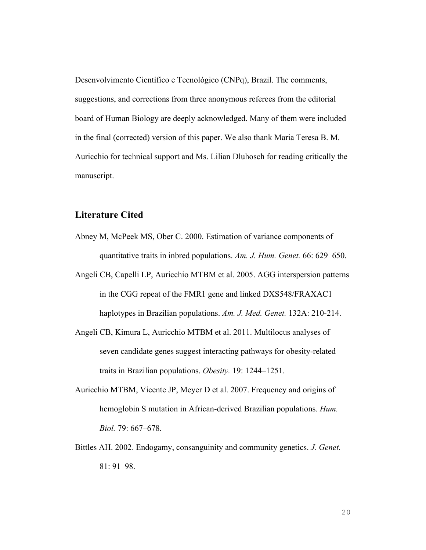Desenvolvimento Científico e Tecnológico (CNPq), Brazil. The comments, suggestions, and corrections from three anonymous referees from the editorial board of Human Biology are deeply acknowledged. Many of them were included in the final (corrected) version of this paper. We also thank Maria Teresa B. M. Auricchio for technical support and Ms. Lilian Dluhosch for reading critically the manuscript.

#### **Literature Cited**

- Abney M, McPeek MS, Ober C. 2000. Estimation of variance components of quantitative traits in inbred populations. *Am. J. Hum. Genet.* 66: 629–650.
- Angeli CB, Capelli LP, Auricchio MTBM et al. 2005. AGG interspersion patterns in the CGG repeat of the FMR1 gene and linked DXS548/FRAXAC1 haplotypes in Brazilian populations. *Am. J. Med. Genet.* 132A: 210-214.
- Angeli CB, Kimura L, Auricchio MTBM et al. 2011. Multilocus analyses of seven candidate genes suggest interacting pathways for obesity-related traits in Brazilian populations. *Obesity.* 19: 1244–1251.
- Auricchio MTBM, Vicente JP, Meyer D et al. 2007. Frequency and origins of hemoglobin S mutation in African-derived Brazilian populations. *Hum. Biol.* 79: 667–678.
- Bittles AH. 2002. Endogamy, consanguinity and community genetics. *J. Genet.* 81: 91–98.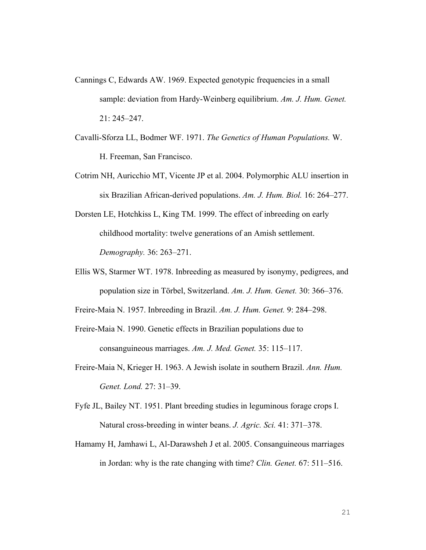- Cannings C, Edwards AW. 1969. Expected genotypic frequencies in a small sample: deviation from Hardy-Weinberg equilibrium. *Am. J. Hum. Genet.* 21: 245–247.
- Cavalli-Sforza LL, Bodmer WF. 1971. *The Genetics of Human Populations.* W. H. Freeman, San Francisco.
- Cotrim NH, Auricchio MT, Vicente JP et al. 2004. Polymorphic ALU insertion in six Brazilian African-derived populations. *Am. J. Hum. Biol.* 16: 264–277.
- Dorsten LE, Hotchkiss L, King TM. 1999. The effect of inbreeding on early childhood mortality: twelve generations of an Amish settlement. *Demography.* 36: 263–271.
- Ellis WS, Starmer WT. 1978. Inbreeding as measured by isonymy, pedigrees, and population size in Törbel, Switzerland. *Am. J. Hum. Genet.* 30: 366–376.

Freire-Maia N. 1957. Inbreeding in Brazil. *Am. J. Hum. Genet.* 9: 284–298.

- Freire-Maia N. 1990. Genetic effects in Brazilian populations due to consanguineous marriages. *Am. J. Med. Genet.* 35: 115–117.
- Freire-Maia N, Krieger H. 1963. A Jewish isolate in southern Brazil. *Ann. Hum. Genet. Lond.* 27: 31–39.
- Fyfe JL, Bailey NT. 1951. Plant breeding studies in leguminous forage crops I. Natural cross-breeding in winter beans. *J. Agric. Sci.* 41: 371–378.
- Hamamy H, Jamhawi L, Al-Darawsheh J et al. 2005. Consanguineous marriages in Jordan: why is the rate changing with time? *Clin. Genet.* 67: 511–516.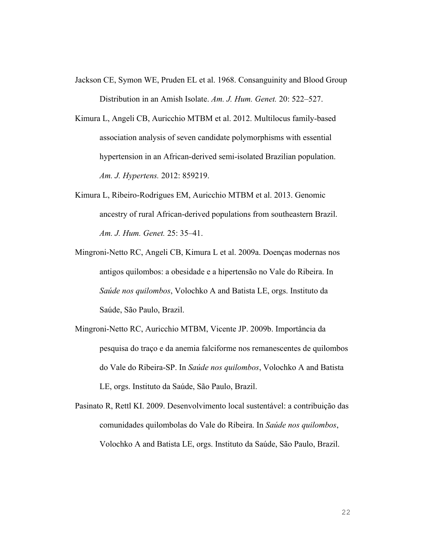- Jackson CE, Symon WE, Pruden EL et al. 1968. Consanguinity and Blood Group Distribution in an Amish Isolate. *Am. J. Hum. Genet.* 20: 522–527.
- Kimura L, Angeli CB, Auricchio MTBM et al. 2012. Multilocus family-based association analysis of seven candidate polymorphisms with essential hypertension in an African-derived semi-isolated Brazilian population. *Am. J. Hypertens.* 2012: 859219.
- Kimura L, Ribeiro-Rodrigues EM, Auricchio MTBM et al. 2013. Genomic ancestry of rural African-derived populations from southeastern Brazil. *Am. J. Hum. Genet.* 25: 35–41.
- Mingroni-Netto RC, Angeli CB, Kimura L et al. 2009a. Doenças modernas nos antigos quilombos: a obesidade e a hipertensão no Vale do Ribeira. In *Saúde nos quilombos*, Volochko A and Batista LE, orgs. Instituto da Saúde, São Paulo, Brazil.
- Mingroni-Netto RC, Auricchio MTBM, Vicente JP. 2009b. Importância da pesquisa do traço e da anemia falciforme nos remanescentes de quilombos do Vale do Ribeira-SP. In *Saúde nos quilombos*, Volochko A and Batista LE, orgs. Instituto da Saúde, São Paulo, Brazil.
- Pasinato R, Rettl KI. 2009. Desenvolvimento local sustentável: a contribuição das comunidades quilombolas do Vale do Ribeira. In *Saúde nos quilombos*, Volochko A and Batista LE, orgs. Instituto da Saúde, São Paulo, Brazil.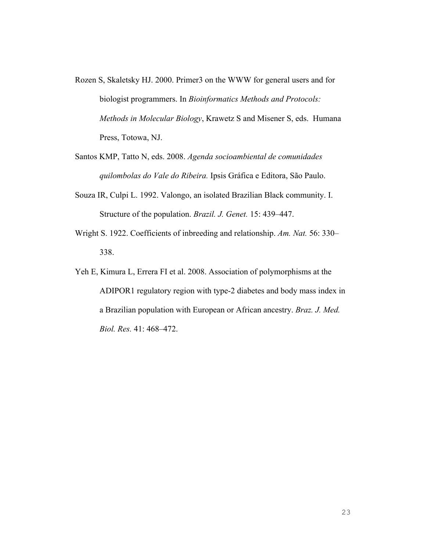- Rozen S, Skaletsky HJ. 2000. Primer3 on the WWW for general users and for biologist programmers. In *Bioinformatics Methods and Protocols: Methods in Molecular Biology*, Krawetz S and Misener S, eds. Humana Press, Totowa, NJ.
- Santos KMP, Tatto N, eds. 2008. *Agenda socioambiental de comunidades quilombolas do Vale do Ribeira.* Ipsis Gráfica e Editora, São Paulo.
- Souza IR, Culpi L. 1992. Valongo, an isolated Brazilian Black community. I. Structure of the population. *Brazil. J. Genet.* 15: 439–447.
- Wright S. 1922. Coefficients of inbreeding and relationship. *Am. Nat.* 56: 330– 338.
- Yeh E, Kimura L, Errera FI et al. 2008. Association of polymorphisms at the ADIPOR1 regulatory region with type-2 diabetes and body mass index in a Brazilian population with European or African ancestry. *Braz. J. Med. Biol. Res.* 41: 468–472.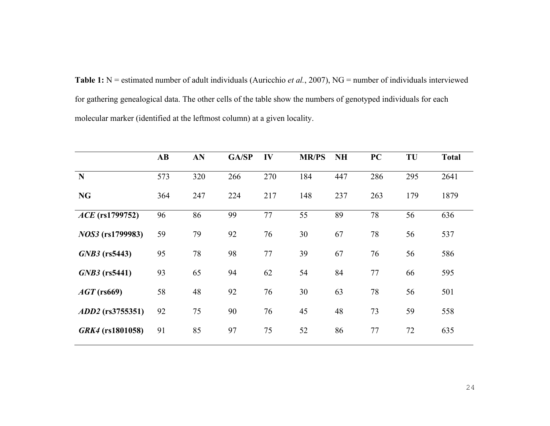**Table 1:** N = estimated number of adult individuals (Auricchio *et al.*, 2007), NG = number of individuals interviewed for gathering genealogical data. The other cells of the table show the numbers of genotyped individuals for each molecular marker (identified at the leftmost column) at a given locality.

|                         | $\mathbf{A}\mathbf{B}$ | AN  | GA/SP | IV  | <b>MR/PS</b> | <b>NH</b> | PC  | TU  | <b>Total</b> |
|-------------------------|------------------------|-----|-------|-----|--------------|-----------|-----|-----|--------------|
| N                       | 573                    | 320 | 266   | 270 | 184          | 447       | 286 | 295 | 2641         |
| <b>NG</b>               | 364                    | 247 | 224   | 217 | 148          | 237       | 263 | 179 | 1879         |
| <i>ACE</i> (rs1799752)  | 96                     | 86  | 99    | 77  | 55           | 89        | 78  | 56  | 636          |
| <i>NOS3</i> (rs1799983) | 59                     | 79  | 92    | 76  | 30           | 67        | 78  | 56  | 537          |
| $GNB3$ (rs5443)         | 95                     | 78  | 98    | 77  | 39           | 67        | 76  | 56  | 586          |
| $GNB3$ (rs5441)         | 93                     | 65  | 94    | 62  | 54           | 84        | 77  | 66  | 595          |
| $AGT$ (rs669)           | 58                     | 48  | 92    | 76  | 30           | 63        | 78  | 56  | 501          |
| ADD2 (rs3755351)        | 92                     | 75  | 90    | 76  | 45           | 48        | 73  | 59  | 558          |
| GRK4 (rs1801058)        | 91                     | 85  | 97    | 75  | 52           | 86        | 77  | 72  | 635          |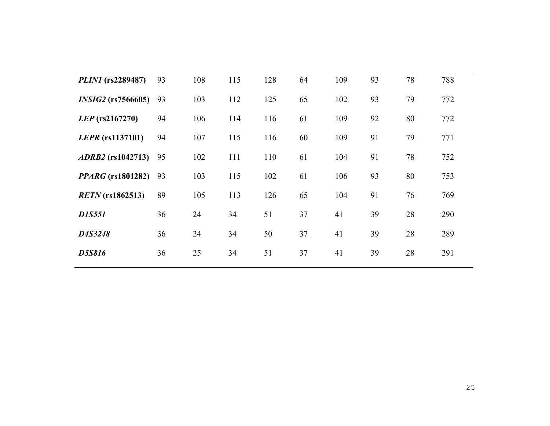| <i>PLIN1</i> (rs2289487) | 93 | 108 | 115 | 128 | 64 | 109 | 93 | 78 | 788 |
|--------------------------|----|-----|-----|-----|----|-----|----|----|-----|
| $INSIG2$ (rs7566605)     | 93 | 103 | 112 | 125 | 65 | 102 | 93 | 79 | 772 |
| $LEP$ (rs2167270)        | 94 | 106 | 114 | 116 | 61 | 109 | 92 | 80 | 772 |
| LEPR (rs1137101)         | 94 | 107 | 115 | 116 | 60 | 109 | 91 | 79 | 771 |
| <i>ADRB2</i> (rs1042713) | 95 | 102 | 111 | 110 | 61 | 104 | 91 | 78 | 752 |
| <i>PPARG</i> (rs1801282) | 93 | 103 | 115 | 102 | 61 | 106 | 93 | 80 | 753 |
| $RETN$ (rs1862513)       | 89 | 105 | 113 | 126 | 65 | 104 | 91 | 76 | 769 |
| <b>D1S551</b>            | 36 | 24  | 34  | 51  | 37 | 41  | 39 | 28 | 290 |
| D4S3248                  | 36 | 24  | 34  | 50  | 37 | 41  | 39 | 28 | 289 |
| <b>D5S816</b>            | 36 | 25  | 34  | 51  | 37 | 41  | 39 | 28 | 291 |
|                          |    |     |     |     |    |     |    |    |     |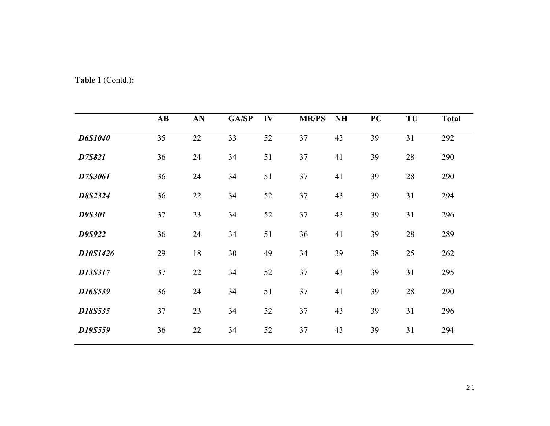|  |  |  | Table 1 (Contd.): |  |
|--|--|--|-------------------|--|
|--|--|--|-------------------|--|

|                | $\mathbf{A}\mathbf{B}$ | AN | GA/SP | IV | <b>MR/PS</b> | <b>NH</b> | PC | TU     | <b>Total</b> |
|----------------|------------------------|----|-------|----|--------------|-----------|----|--------|--------------|
| <b>D6S1040</b> | 35                     | 22 | 33    | 52 | 37           | 43        | 39 | 31     | 292          |
| D7S821         | 36                     | 24 | 34    | 51 | 37           | 41        | 39 | 28     | 290          |
| D7S3061        | 36                     | 24 | 34    | 51 | 37           | 41        | 39 | 28     | 290          |
| D8S2324        | 36                     | 22 | 34    | 52 | 37           | 43        | 39 | 31     | 294          |
| <b>D9S301</b>  | 37                     | 23 | 34    | 52 | 37           | 43        | 39 | 31     | 296          |
| D9S922         | 36                     | 24 | 34    | 51 | 36           | 41        | 39 | $28\,$ | 289          |
| D10S1426       | 29                     | 18 | 30    | 49 | 34           | 39        | 38 | 25     | 262          |
| D13S317        | 37                     | 22 | 34    | 52 | 37           | 43        | 39 | 31     | 295          |
| D16S539        | 36                     | 24 | 34    | 51 | 37           | 41        | 39 | 28     | 290          |
| D18S535        | 37                     | 23 | 34    | 52 | 37           | 43        | 39 | 31     | 296          |
| D19S559        | 36                     | 22 | 34    | 52 | 37           | 43        | 39 | 31     | 294          |
|                |                        |    |       |    |              |           |    |        |              |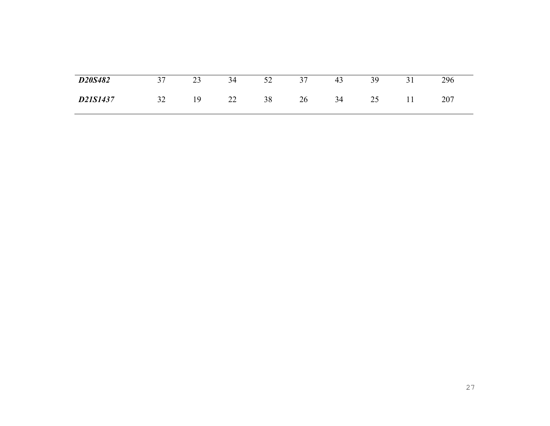| D20S482  | 37 | 23 | 34 52 |    | 37 | 43 | 39 | 296 |
|----------|----|----|-------|----|----|----|----|-----|
| D21S1437 | 32 | 19 | 22    | 38 | 26 | 34 | 25 | 207 |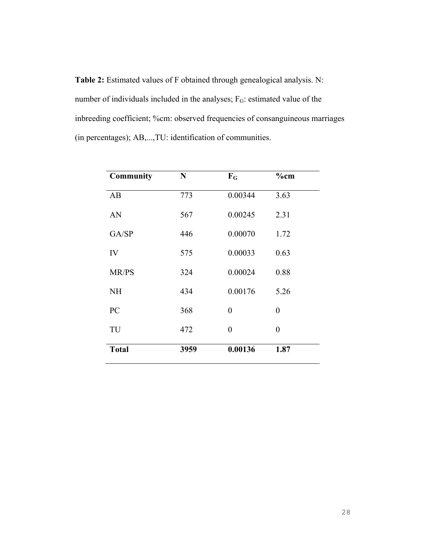**Table 2:** Estimated values of F obtained through genealogical analysis. N: number of individuals included in the analyses; F<sub>G</sub>: estimated value of the inbreeding coefficient; %cm: observed frequencies of consanguineous marriages (in percentages); AB,...,TU: identification of communities.

| <b>Community</b> | N    | $F_G$    | $\%$ cm          |
|------------------|------|----------|------------------|
| AB               | 773  | 0.00344  | 3.63             |
| AN               | 567  | 0.00245  | 2.31             |
| GA/SP            | 446  | 0.00070  | 1.72             |
| IV               | 575  | 0.00033  | 0.63             |
| MR/PS            | 324  | 0.00024  | 0.88             |
| <b>NH</b>        | 434  | 0.00176  | 5.26             |
| PC               | 368  | $\theta$ | $\boldsymbol{0}$ |
| TU               | 472  | $\theta$ | $\boldsymbol{0}$ |
| <b>Total</b>     | 3959 | 0.00136  | 1.87             |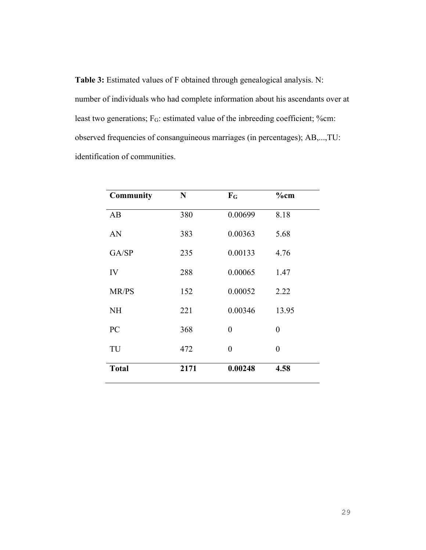**Table 3:** Estimated values of F obtained through genealogical analysis. N: number of individuals who had complete information about his ascendants over at least two generations; F<sub>G</sub>: estimated value of the inbreeding coefficient; %cm: observed frequencies of consanguineous marriages (in percentages); AB,...,TU: identification of communities.

| <b>Community</b> | $\mathbf N$ | $F_G$          | $%$ cm         |
|------------------|-------------|----------------|----------------|
| AB               | 380         | 0.00699        | 8.18           |
| AN               | 383         | 0.00363        | 5.68           |
| GA/SP            | 235         | 0.00133        | 4.76           |
| IV               | 288         | 0.00065        | 1.47           |
| MR/PS            | 152         | 0.00052        | 2.22           |
| <b>NH</b>        | 221         | 0.00346        | 13.95          |
| PC               | 368         | $\theta$       | $\theta$       |
| TU               | 472         | $\overline{0}$ | $\overline{0}$ |
| <b>Total</b>     | 2171        | 0.00248        | 4.58           |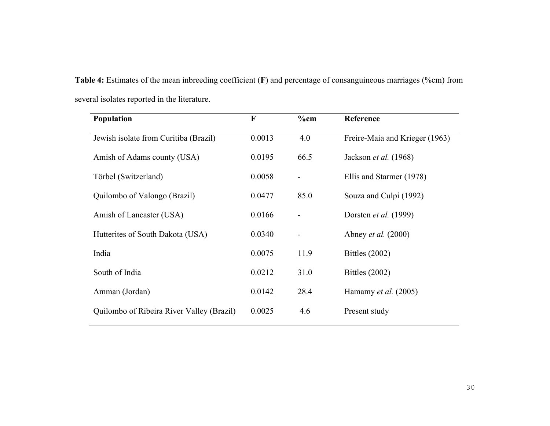| Table 4: Estimates of the mean inbreeding coefficient $(F)$ and percentage of consanguineous marriages (%cm) from |  |  |
|-------------------------------------------------------------------------------------------------------------------|--|--|
| several isolates reported in the literature.                                                                      |  |  |

| <b>Population</b>                         | $\mathbf{F}$ | $%$ cm | Reference                      |
|-------------------------------------------|--------------|--------|--------------------------------|
| Jewish isolate from Curitiba (Brazil)     | 0.0013       | 4.0    | Freire-Maia and Krieger (1963) |
| Amish of Adams county (USA)               | 0.0195       | 66.5   | Jackson et al. (1968)          |
| Törbel (Switzerland)                      | 0.0058       |        | Ellis and Starmer (1978)       |
| Quilombo of Valongo (Brazil)              | 0.0477       | 85.0   | Souza and Culpi (1992)         |
| Amish of Lancaster (USA)                  | 0.0166       |        | Dorsten et al. (1999)          |
| Hutterites of South Dakota (USA)          | 0.0340       |        | Abney <i>et al.</i> (2000)     |
| India                                     | 0.0075       | 11.9   | Bittles $(2002)$               |
| South of India                            | 0.0212       | 31.0   | Bittles (2002)                 |
| Amman (Jordan)                            | 0.0142       | 28.4   | Hamamy et al. $(2005)$         |
| Quilombo of Ribeira River Valley (Brazil) | 0.0025       | 4.6    | Present study                  |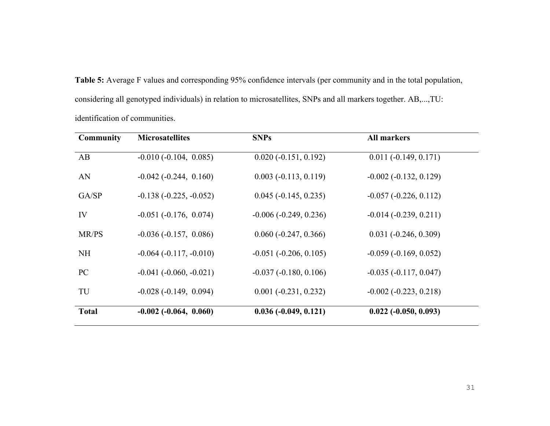**Table 5:** Average F values and corresponding 95% confidence intervals (per community and in the total population, considering all genotyped individuals) in relation to microsatellites, SNPs and all markers together. AB,...,TU: identification of communities.

| <b>Community</b> | <b>Microsatellites</b>           | <b>SNPs</b>             | <b>All markers</b>              |
|------------------|----------------------------------|-------------------------|---------------------------------|
| AB               | $-0.010(-0.104, 0.085)$          | $0.020(-0.151, 0.192)$  | $0.011 (-0.149, 0.171)$         |
| AN               | $-0.042$ ( $-0.244$ , 0.160)     | $0.003(-0.113, 0.119)$  | $-0.002$ ( $-0.132$ , $0.129$ ) |
| GA/SP            | $-0.138(-0.225, -0.052)$         | $0.045 (-0.145, 0.235)$ | $-0.057(-0.226, 0.112)$         |
| IV               | $-0.051(-0.176, 0.074)$          | $-0.006(-0.249, 0.236)$ | $-0.014 (-0.239, 0.211)$        |
| MR/PS            | $-0.036(-0.157, 0.086)$          | $0.060(-0.247, 0.366)$  | $0.031(-0.246, 0.309)$          |
| <b>NH</b>        | $-0.064$ ( $-0.117$ , $-0.010$ ) | $-0.051(-0.206, 0.105)$ | $-0.059(-0.169, 0.052)$         |
| PC               | $-0.041$ ( $-0.060$ , $-0.021$ ) | $-0.037(-0.180, 0.106)$ | $-0.035(-0.117, 0.047)$         |
| TU               | $-0.028(-0.149, 0.094)$          | $0.001 (-0.231, 0.232)$ | $-0.002$ $(-0.223, 0.218)$      |
| <b>Total</b>     | $-0.002$ $(-0.064, 0.060)$       | $0.036 (-0.049, 0.121)$ | $0.022 (-0.050, 0.093)$         |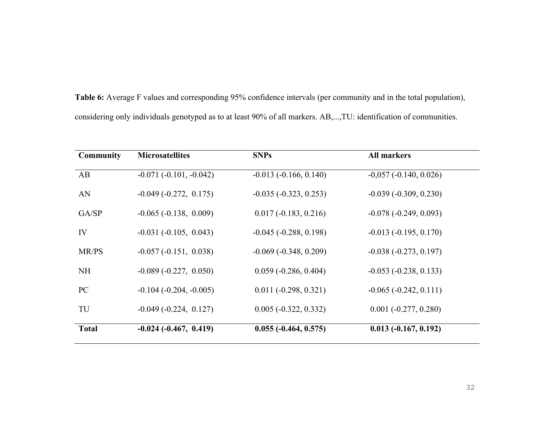| <b>Table 6:</b> Average F values and corresponding 95% confidence intervals (per community and in the total population), |  |
|--------------------------------------------------------------------------------------------------------------------------|--|
| considering only individuals genotyped as to at least 90% of all markers. AB,, TU: identification of communities.        |  |

| <b>Community</b> | <b>Microsatellites</b>           | <b>SNPs</b>                  | <b>All markers</b>      |
|------------------|----------------------------------|------------------------------|-------------------------|
| AB               | $-0.071(-0.101, -0.042)$         | $-0.013(-0.166, 0.140)$      | $-0.057(-0.140, 0.026)$ |
| AN               | $-0.049(-0.272, 0.175)$          | $-0.035(-0.323, 0.253)$      | $-0.039(-0.309, 0.230)$ |
| GA/SP            | $-0.065(-0.138, 0.009)$          | $0.017(-0.183, 0.216)$       | $-0.078(-0.249, 0.093)$ |
| IV               | $-0.031(-0.105, 0.043)$          | $-0.045$ ( $-0.288$ , 0.198) | $-0.013(-0.195, 0.170)$ |
| MR/PS            | $-0.057(-0.151, 0.038)$          | $-0.069(-0.348, 0.209)$      | $-0.038(-0.273, 0.197)$ |
| <b>NH</b>        | $-0.089(-0.227, 0.050)$          | $0.059(-0.286, 0.404)$       | $-0.053(-0.238, 0.133)$ |
| PC               | $-0.104$ ( $-0.204$ , $-0.005$ ) | $0.011 (-0.298, 0.321)$      | $-0.065(-0.242, 0.111)$ |
| TU               | $-0.049(-0.224, 0.127)$          | $0.005(-0.322, 0.332)$       | $0.001 (-0.277, 0.280)$ |
| <b>Total</b>     | $-0.024(-0.467, 0.419)$          | $0.055(-0.464, 0.575)$       | $0.013(-0.167, 0.192)$  |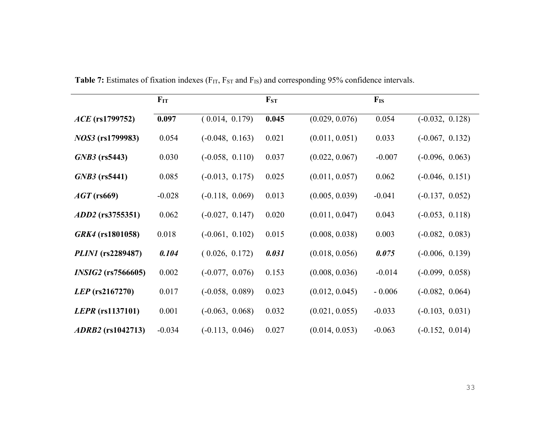|                           | $F_{IT}$ |                   | $F_{ST}$ |                | $F_{IS}$ |                   |
|---------------------------|----------|-------------------|----------|----------------|----------|-------------------|
| $ACE$ (rs1799752)         | 0.097    | (0.014, 0.179)    | 0.045    | (0.029, 0.076) | 0.054    | $(-0.032, 0.128)$ |
| <i>NOS3</i> (rs1799983)   | 0.054    | $(-0.048, 0.163)$ | 0.021    | (0.011, 0.051) | 0.033    | $(-0.067, 0.132)$ |
| $GNB3$ (rs5443)           | 0.030    | $(-0.058, 0.110)$ | 0.037    | (0.022, 0.067) | $-0.007$ | $(-0.096, 0.063)$ |
| $GNB3$ (rs5441)           | 0.085    | $(-0.013, 0.175)$ | 0.025    | (0.011, 0.057) | 0.062    | $(-0.046, 0.151)$ |
| $AGT$ (rs669)             | $-0.028$ | $(-0.118, 0.069)$ | 0.013    | (0.005, 0.039) | $-0.041$ | $(-0.137, 0.052)$ |
| <i>ADD2</i> (rs3755351)   | 0.062    | $(-0.027, 0.147)$ | 0.020    | (0.011, 0.047) | 0.043    | $(-0.053, 0.118)$ |
| GRK4 (rs1801058)          | 0.018    | $(-0.061, 0.102)$ | 0.015    | (0.008, 0.038) | 0.003    | $(-0.082, 0.083)$ |
| <i>PLIN1</i> (rs2289487)  | 0.104    | (0.026, 0.172)    | 0.031    | (0.018, 0.056) | 0.075    | $(-0.006, 0.139)$ |
| <i>INSIG2</i> (rs7566605) | 0.002    | $(-0.077, 0.076)$ | 0.153    | (0.008, 0.036) | $-0.014$ | $(-0.099, 0.058)$ |
| LEP (rs2167270)           | 0.017    | $(-0.058, 0.089)$ | 0.023    | (0.012, 0.045) | $-0.006$ | $(-0.082, 0.064)$ |
| <i>LEPR</i> (rs1137101)   | 0.001    | $(-0.063, 0.068)$ | 0.032    | (0.021, 0.055) | $-0.033$ | $(-0.103, 0.031)$ |
| <i>ADRB2</i> (rs1042713)  | $-0.034$ | $(-0.113, 0.046)$ | 0.027    | (0.014, 0.053) | $-0.063$ | $(-0.152, 0.014)$ |

Table 7: Estimates of fixation indexes (F<sub>IT</sub>, F<sub>ST</sub> and F<sub>IS</sub>) and corresponding 95% confidence intervals.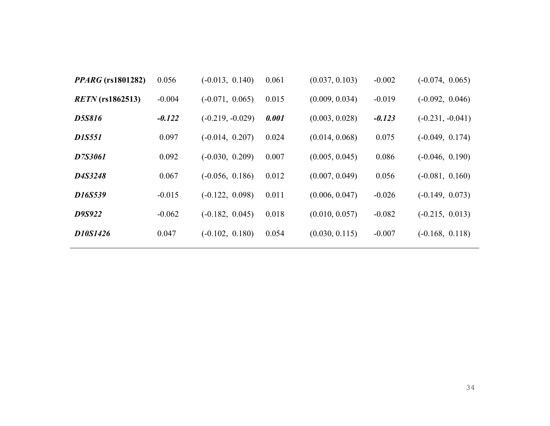| <i>PPARG</i> (rs1801282) | 0.056    | $(-0.013, 0.140)$  | 0.061 | (0.037, 0.103) | $-0.002$ | $(-0.074, 0.065)$  |
|--------------------------|----------|--------------------|-------|----------------|----------|--------------------|
| $RETN$ (rs1862513)       | $-0.004$ | $(-0.071, 0.065)$  | 0.015 | (0.009, 0.034) | $-0.019$ | $(-0.092, 0.046)$  |
| <b>D5S816</b>            | $-0.122$ | $(-0.219, -0.029)$ | 0.001 | (0.003, 0.028) | $-0.123$ | $(-0.231, -0.041)$ |
| <b>D1S551</b>            | 0.097    | $(-0.014, 0.207)$  | 0.024 | (0.014, 0.068) | 0.075    | $(-0.049, 0.174)$  |
| D7S3061                  | 0.092    | $(-0.030, 0.209)$  | 0.007 | (0.005, 0.045) | 0.086    | $(-0.046, 0.190)$  |
| D4S3248                  | 0.067    | $(-0.056, 0.186)$  | 0.012 | (0.007, 0.049) | 0.056    | $(-0.081, 0.160)$  |
| D16S539                  | $-0.015$ | $(-0.122, 0.098)$  | 0.011 | (0.006, 0.047) | $-0.026$ | $(-0.149, 0.073)$  |
| D9S922                   | $-0.062$ | $(-0.182, 0.045)$  | 0.018 | (0.010, 0.057) | $-0.082$ | $(-0.215, 0.013)$  |
| D10S1426                 | 0.047    | $(-0.102, 0.180)$  | 0.054 | (0.030, 0.115) | $-0.007$ | $(-0.168, 0.118)$  |
|                          |          |                    |       |                |          |                    |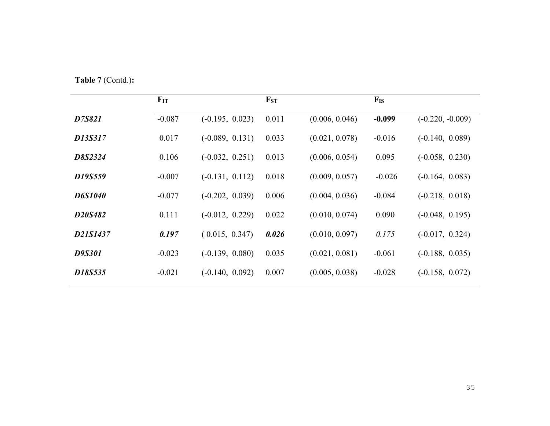**Table 7** (Contd.)**:**

|                | $F_{IT}$ |                   | $F_{ST}$ |                | $F_{IS}$ |                    |
|----------------|----------|-------------------|----------|----------------|----------|--------------------|
| D7S821         | $-0.087$ | $(-0.195, 0.023)$ | 0.011    | (0.006, 0.046) | $-0.099$ | $(-0.220, -0.009)$ |
| D13S317        | 0.017    | $(-0.089, 0.131)$ | 0.033    | (0.021, 0.078) | $-0.016$ | $(-0.140, 0.089)$  |
| D8S2324        | 0.106    | $(-0.032, 0.251)$ | 0.013    | (0.006, 0.054) | 0.095    | $(-0.058, 0.230)$  |
| D19S559        | $-0.007$ | $(-0.131, 0.112)$ | 0.018    | (0.009, 0.057) | $-0.026$ | $(-0.164, 0.083)$  |
| <b>D6S1040</b> | $-0.077$ | $(-0.202, 0.039)$ | 0.006    | (0.004, 0.036) | $-0.084$ | $(-0.218, 0.018)$  |
| D20S482        | 0.111    | $(-0.012, 0.229)$ | 0.022    | (0.010, 0.074) | 0.090    | $(-0.048, 0.195)$  |
| D21S1437       | 0.197    | (0.015, 0.347)    | 0.026    | (0.010, 0.097) | 0.175    | $(-0.017, 0.324)$  |
| <b>D9S301</b>  | $-0.023$ | $(-0.139, 0.080)$ | 0.035    | (0.021, 0.081) | $-0.061$ | $(-0.188, 0.035)$  |
| D18S535        | $-0.021$ | $(-0.140, 0.092)$ | 0.007    | (0.005, 0.038) | $-0.028$ | $(-0.158, 0.072)$  |
|                |          |                   |          |                |          |                    |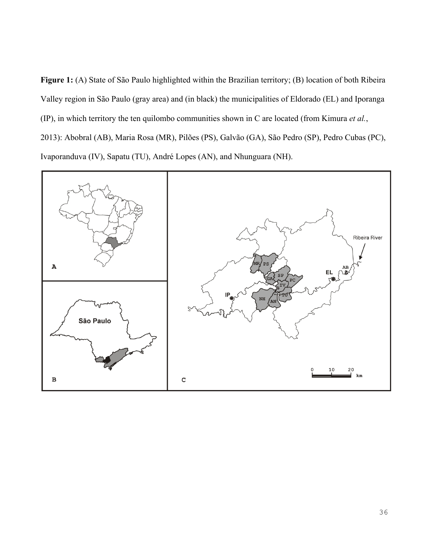**Figure 1:** (A) State of São Paulo highlighted within the Brazilian territory; (B) location of both Ribeira Valley region in São Paulo (gray area) and (in black) the municipalities of Eldorado (EL) and Iporanga (IP), in which territory the ten quilombo communities shown in C are located (from Kimura *et al.*, 2013): Abobral (AB), Maria Rosa (MR), Pilões (PS), Galvão (GA), São Pedro (SP), Pedro Cubas (PC), Ivaporanduva (IV), Sapatu (TU), André Lopes (AN), and Nhunguara (NH).

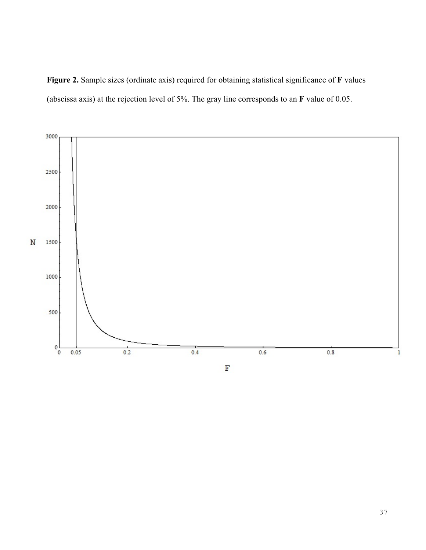



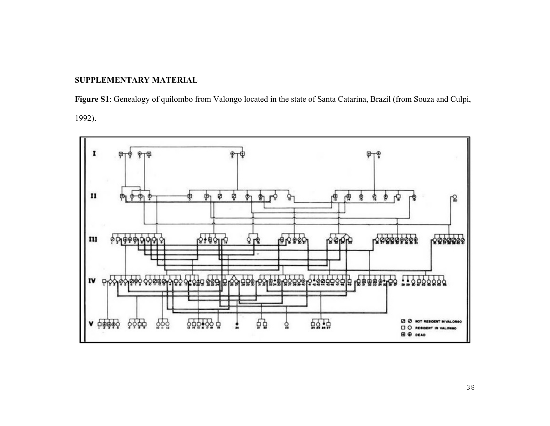#### **SUPPLEMENTARY MATERIAL**

**Figure S1**: Genealogy of quilombo from Valongo located in the state of Santa Catarina, Brazil (from Souza and Culpi, 1992).

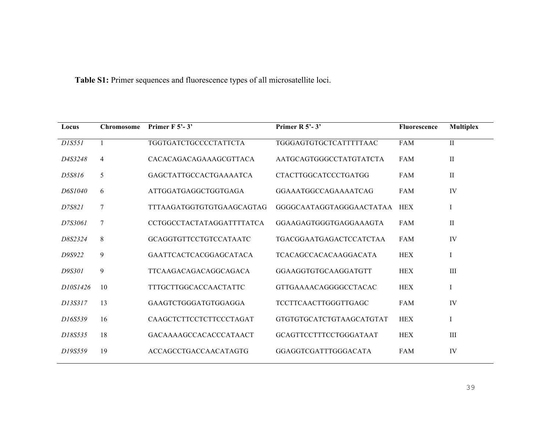**Table S1:** Primer sequences and fluorescence types of all microsatellite loci.

| Locus    | <b>Chromosome</b> | Primer $F$ 5'-3'             | Primer R 5'-3'               | <b>Fluorescence</b> | <b>Multiplex</b> |
|----------|-------------------|------------------------------|------------------------------|---------------------|------------------|
| D1S551   |                   | TGGTGATCTGCCCCTATTCTA        | TGGGAGTGTGCTCATTTTTAAC       | <b>FAM</b>          | $\rm II$         |
| D4S3248  | 4                 | CACACAGACAGAAAGCGTTACA       | AATGCAGTGGGCCTATGTATCTA      | <b>FAM</b>          | $\rm II$         |
| D5S816   | 5                 | GAGCTATTGCCACTGAAAATCA       | <b>CTACTTGGCATCCCTGATGG</b>  | <b>FAM</b>          | $\rm II$         |
| D6S1040  | 6                 | ATTGGATGAGGCTGGTGAGA         | GGAAATGGCCAGAAAATCAG         | <b>FAM</b>          | IV               |
| D7S821   | 7                 | TTTAAGATGGTGTGTGAAGCAGTAG    | GGGGCAATAGGTAGGGAACTATAA     | <b>HEX</b>          | I                |
| D7S3061  | 7                 | CCTGGCCTACTATAGGATTTTATCA    | GGAAGAGTGGGTGAGGAAAGTA       | <b>FAM</b>          | $\rm II$         |
| D8S2324  | 8                 | GCAGGTGTTCCTGTCCATAATC       | TGACGGAATGAGACTCCATCTAA      | <b>FAM</b>          | IV               |
| D9S922   | 9                 | GAATTCACTCACGGAGCATACA       | <b>TCACAGCCACACAAGGACATA</b> | <b>HEX</b>          | I                |
| D9S301   | 9                 | TTCAAGACAGACAGGCAGACA        | GGAAGGTGTGCAAGGATGTT         | <b>HEX</b>          | III              |
| D10S1426 | 10                | <b>TTTGCTTGGCACCAACTATTC</b> | <b>GTTGAAAACAGGGGCCTACAC</b> | <b>HEX</b>          | I                |
| D13S317  | 13                | GAAGTCTGGGATGTGGAGGA         | TCCTTCAACTTGGGTTGAGC         | <b>FAM</b>          | IV               |
| D16S539  | 16                | CAAGCTCTTCCTCTTCCCTAGAT      | GTGTGTGCATCTGTAAGCATGTAT     | <b>HEX</b>          | $\bf{I}$         |
| D18S535  | 18                | GACAAAAGCCACACCCATAACT       | GCAGTTCCTTTCCTGGGATAAT       | <b>HEX</b>          | III              |
| D19S559  | 19                | ACCAGCCTGACCAACATAGTG        | GGAGGTCGATTTGGGACATA         | <b>FAM</b>          | IV               |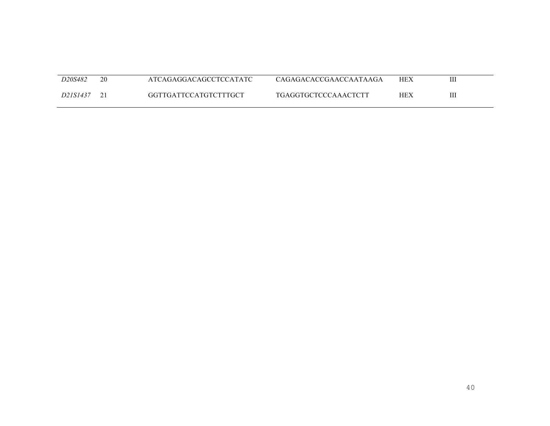| D20S482  | 20 | ATCAGAGGACAGCCTCCATATC | CAGAGACACCGAACCAATAAGA      | <b>HEX</b> | Ш |
|----------|----|------------------------|-----------------------------|------------|---|
| D21S1437 |    | GGTTGATTCCATGTCTTTGCT  | <b>TGAGGTGCTCCCAAACTCTT</b> | HEX        | Ш |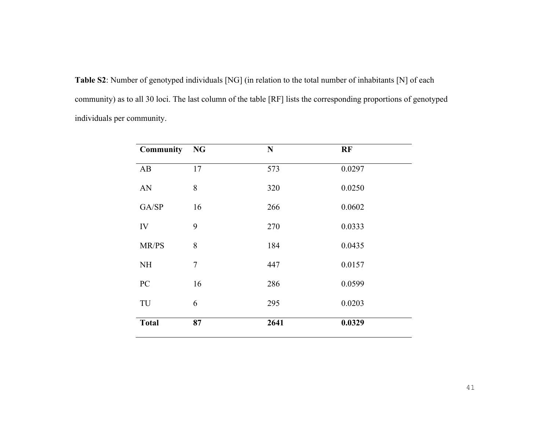**Table S2**: Number of genotyped individuals [NG] (in relation to the total number of inhabitants [N] of each community) as to all 30 loci. The last column of the table [RF] lists the corresponding proportions of genotyped individuals per community.

| <b>Community</b> | <b>NG</b> | N    | RF     |
|------------------|-----------|------|--------|
| AB               | 17        | 573  | 0.0297 |
| AN               | 8         | 320  | 0.0250 |
| GA/SP            | 16        | 266  | 0.0602 |
| IV               | 9         | 270  | 0.0333 |
| MR/PS            | 8         | 184  | 0.0435 |
| <b>NH</b>        | 7         | 447  | 0.0157 |
| PC               | 16        | 286  | 0.0599 |
| TU               | 6         | 295  | 0.0203 |
| <b>Total</b>     | 87        | 2641 | 0.0329 |